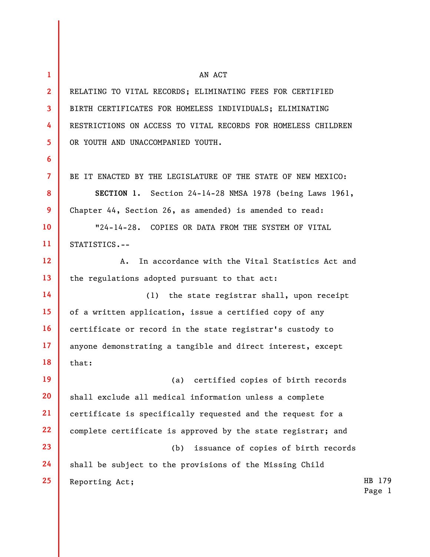| $\mathbf{1}$    | AN ACT                                                        |                  |
|-----------------|---------------------------------------------------------------|------------------|
| $\overline{2}$  | RELATING TO VITAL RECORDS; ELIMINATING FEES FOR CERTIFIED     |                  |
| $\mathbf{3}$    | BIRTH CERTIFICATES FOR HOMELESS INDIVIDUALS; ELIMINATING      |                  |
| 4               | RESTRICTIONS ON ACCESS TO VITAL RECORDS FOR HOMELESS CHILDREN |                  |
| 5               | OR YOUTH AND UNACCOMPANIED YOUTH.                             |                  |
| 6               |                                                               |                  |
| $\overline{7}$  | BE IT ENACTED BY THE LEGISLATURE OF THE STATE OF NEW MEXICO:  |                  |
| 8               | SECTION 1. Section 24-14-28 NMSA 1978 (being Laws 1961,       |                  |
| 9               | Chapter 44, Section 26, as amended) is amended to read:       |                  |
| 10              | "24-14-28. COPIES OR DATA FROM THE SYSTEM OF VITAL            |                  |
| 11              | STATISTICS.--                                                 |                  |
| 12 <sup>2</sup> | In accordance with the Vital Statistics Act and<br>А.         |                  |
| 13              | the regulations adopted pursuant to that act:                 |                  |
| 14              | the state registrar shall, upon receipt<br>(1)                |                  |
| 15              | of a written application, issue a certified copy of any       |                  |
| 16              | certificate or record in the state registrar's custody to     |                  |
| 17              | anyone demonstrating a tangible and direct interest, except   |                  |
| 18              | that:                                                         |                  |
| 19              | certified copies of birth records<br>(a)                      |                  |
| 20              | shall exclude all medical information unless a complete       |                  |
| 21              | certificate is specifically requested and the request for a   |                  |
| 22              | complete certificate is approved by the state registrar; and  |                  |
| 23              | issuance of copies of birth records<br>(b)                    |                  |
| 24              | shall be subject to the provisions of the Missing Child       |                  |
| 25              | Reporting Act;                                                | HB 179<br>Page 1 |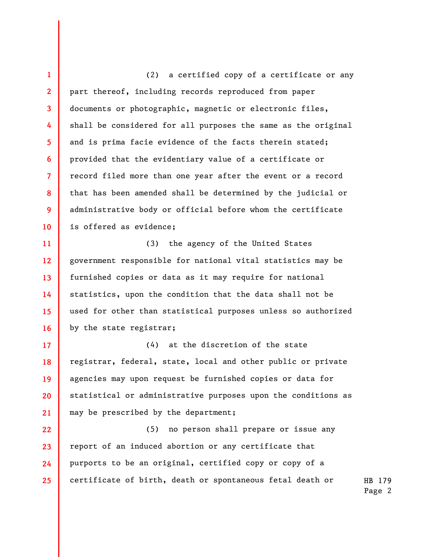1 2 3 4 5 6 7 8 9 10 (2) a certified copy of a certificate or any part thereof, including records reproduced from paper documents or photographic, magnetic or electronic files, shall be considered for all purposes the same as the original and is prima facie evidence of the facts therein stated; provided that the evidentiary value of a certificate or record filed more than one year after the event or a record that has been amended shall be determined by the judicial or administrative body or official before whom the certificate is offered as evidence;

11 12 13 14 15 16 (3) the agency of the United States government responsible for national vital statistics may be furnished copies or data as it may require for national statistics, upon the condition that the data shall not be used for other than statistical purposes unless so authorized by the state registrar;

17 18 19 20 21 (4) at the discretion of the state registrar, federal, state, local and other public or private agencies may upon request be furnished copies or data for statistical or administrative purposes upon the conditions as may be prescribed by the department;

HB 179 22 23 24 25 (5) no person shall prepare or issue any report of an induced abortion or any certificate that purports to be an original, certified copy or copy of a certificate of birth, death or spontaneous fetal death or

Page 2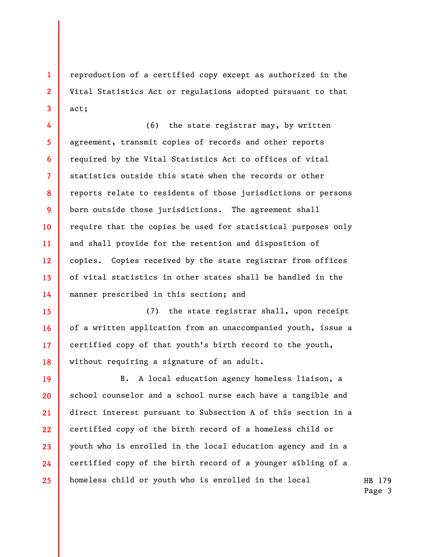reproduction of a certified copy except as authorized in the Vital Statistics Act or regulations adopted pursuant to that act;

1

2

3

4 5 6 7 8 9 10 11 12 13 14 (6) the state registrar may, by written agreement, transmit copies of records and other reports required by the Vital Statistics Act to offices of vital statistics outside this state when the records or other reports relate to residents of those jurisdictions or persons born outside those jurisdictions. The agreement shall require that the copies be used for statistical purposes only and shall provide for the retention and disposition of copies. Copies received by the state registrar from offices of vital statistics in other states shall be handled in the manner prescribed in this section; and

15 16 17 18 (7) the state registrar shall, upon receipt of a written application from an unaccompanied youth, issue a certified copy of that youth's birth record to the youth, without requiring a signature of an adult.

19 20 21 22 23 24 25 B. A local education agency homeless liaison, a school counselor and a school nurse each have a tangible and direct interest pursuant to Subsection A of this section in a certified copy of the birth record of a homeless child or youth who is enrolled in the local education agency and in a certified copy of the birth record of a younger sibling of a homeless child or youth who is enrolled in the local

HB 179 Page 3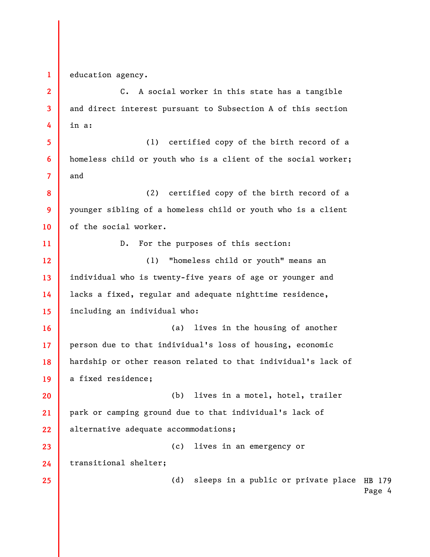1 education agency.

2 3 4 5 6 7 8 9 10 11 12 13 14 15 16 17 18 19 20 21 22 C. A social worker in this state has a tangible and direct interest pursuant to Subsection A of this section in a: (1) certified copy of the birth record of a homeless child or youth who is a client of the social worker; and (2) certified copy of the birth record of a younger sibling of a homeless child or youth who is a client of the social worker. D. For the purposes of this section: (1) "homeless child or youth" means an individual who is twenty-five years of age or younger and lacks a fixed, regular and adequate nighttime residence, including an individual who: (a) lives in the housing of another person due to that individual's loss of housing, economic hardship or other reason related to that individual's lack of a fixed residence; (b) lives in a motel, hotel, trailer park or camping ground due to that individual's lack of alternative adequate accommodations;

23 (c) lives in an emergency or transitional shelter;

> (d) sleeps in a public or private place HB 179 Page 4

24 25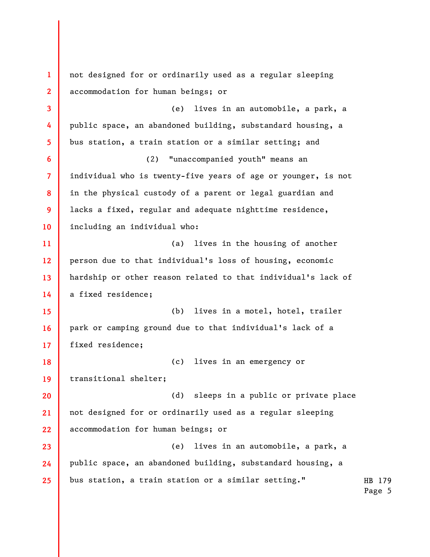HB 179 Page 5 1 2 3 4 5 6 7 8 9 10 11 12 13 14 15 16 17 18 19 20 21 22 23 24 25 not designed for or ordinarily used as a regular sleeping accommodation for human beings; or (e) lives in an automobile, a park, a public space, an abandoned building, substandard housing, a bus station, a train station or a similar setting; and (2) "unaccompanied youth" means an individual who is twenty-five years of age or younger, is not in the physical custody of a parent or legal guardian and lacks a fixed, regular and adequate nighttime residence, including an individual who: (a) lives in the housing of another person due to that individual's loss of housing, economic hardship or other reason related to that individual's lack of a fixed residence; (b) lives in a motel, hotel, trailer park or camping ground due to that individual's lack of a fixed residence; (c) lives in an emergency or transitional shelter; (d) sleeps in a public or private place not designed for or ordinarily used as a regular sleeping accommodation for human beings; or (e) lives in an automobile, a park, a public space, an abandoned building, substandard housing, a bus station, a train station or a similar setting."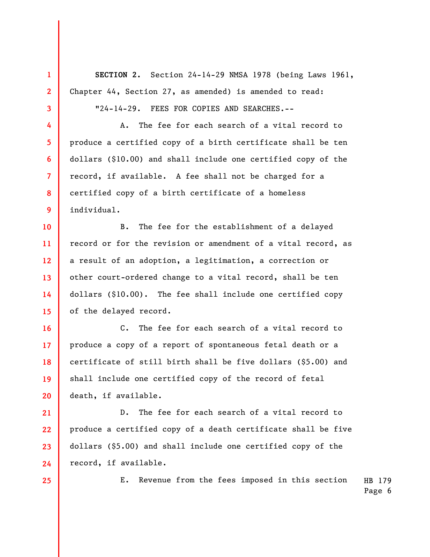SECTION 2. Section 24-14-29 NMSA 1978 (being Laws 1961, Chapter 44, Section 27, as amended) is amended to read:

"24-14-29. FEES FOR COPIES AND SEARCHES.--

A. The fee for each search of a vital record to produce a certified copy of a birth certificate shall be ten dollars (\$10.00) and shall include one certified copy of the record, if available. A fee shall not be charged for a certified copy of a birth certificate of a homeless individual.

10 11 12 13 14 15 B. The fee for the establishment of a delayed record or for the revision or amendment of a vital record, as a result of an adoption, a legitimation, a correction or other court-ordered change to a vital record, shall be ten dollars (\$10.00). The fee shall include one certified copy of the delayed record.

18 20 C. The fee for each search of a vital record to produce a copy of a report of spontaneous fetal death or a certificate of still birth shall be five dollars (\$5.00) and shall include one certified copy of the record of fetal death, if available.

21 22 23 24 D. The fee for each search of a vital record to produce a certified copy of a death certificate shall be five dollars (\$5.00) and shall include one certified copy of the record, if available.

25

1

2

3

4

5

6

7

8

9

16

17

19

HB 179 E. Revenue from the fees imposed in this section

Page 6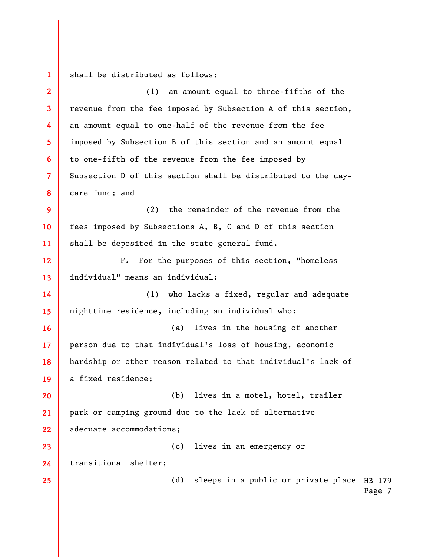(d) sleeps in a public or private place HB 179 1 2 3 4 5 6 7 8 9 10 11 12 13 14 15 16 17 18 19 20 21 22 23 24 25 shall be distributed as follows: (1) an amount equal to three-fifths of the revenue from the fee imposed by Subsection A of this section, an amount equal to one-half of the revenue from the fee imposed by Subsection B of this section and an amount equal to one-fifth of the revenue from the fee imposed by Subsection D of this section shall be distributed to the daycare fund; and (2) the remainder of the revenue from the fees imposed by Subsections A, B, C and D of this section shall be deposited in the state general fund. F. For the purposes of this section, "homeless individual" means an individual: (1) who lacks a fixed, regular and adequate nighttime residence, including an individual who: (a) lives in the housing of another person due to that individual's loss of housing, economic hardship or other reason related to that individual's lack of a fixed residence; (b) lives in a motel, hotel, trailer park or camping ground due to the lack of alternative adequate accommodations; (c) lives in an emergency or transitional shelter;

Page 7